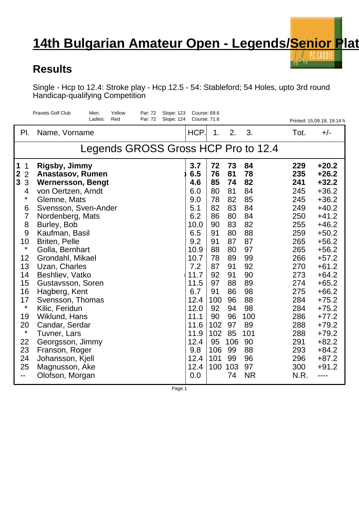## **14th Bulgarian Amateur Open - Legends/Senior Plateur open - 14th Bulgarian Amateur Open - Legends/Senior Plate**

## **Results**

Single - Hcp to 12.4: Stroke play - Hcp 12.5 - 54: Stableford; 54 Holes, upto 3rd round Handicap-qualifying Competition

|                                                          | <b>Pravets Golf Club</b><br>Yellow<br>Par: 72<br><b>Slope: 123</b><br>Men:<br>Par: 72<br>Ladies:<br>Red<br>Slope: 124 | Course: 69.6<br>Course: 71.6 |                         |                        |                      |                          | Printed: 15.09.18, 19:14 h               |  |  |  |  |  |
|----------------------------------------------------------|-----------------------------------------------------------------------------------------------------------------------|------------------------------|-------------------------|------------------------|----------------------|--------------------------|------------------------------------------|--|--|--|--|--|
| PI.                                                      | Name, Vorname                                                                                                         | HCP.                         | 1.                      | 2.                     | 3.                   | Tot.                     | $+/-$                                    |  |  |  |  |  |
| Legends GROSS Gross HCP Pro to 12.4                      |                                                                                                                       |                              |                         |                        |                      |                          |                                          |  |  |  |  |  |
| 1<br>$\mathbf 1$<br>$\frac{2}{3}$<br>$\overline{2}$<br>3 | <b>Rigsby, Jimmy</b><br><b>Anastasov, Rumen</b><br><b>Wernersson, Bengt</b>                                           | 3.7<br>6.5<br>4.6            | 72<br>76<br>85          | 73<br>81<br>74         | 84<br>78<br>82       | 229<br>235<br>241        | $+20.2$<br>$+26.2$<br>$+32.2$            |  |  |  |  |  |
| 4<br>*<br>6                                              | von Oertzen, Arndt<br>Glemne, Mats<br>Svensson, Sven-Ander                                                            | 6.0<br>9.0<br>5.1            | 80<br>78<br>82          | 81<br>82<br>83         | 84<br>85<br>84       | 245<br>245<br>249        | $+36.2$<br>$+36.2$<br>$+40.2$            |  |  |  |  |  |
| 7<br>8                                                   | Nordenberg, Mats<br>Burley, Bob                                                                                       | 6.2<br>10.0                  | 86<br>90                | 80<br>83               | 84<br>82             | 250<br>255               | $+41.2$<br>$+46.2$                       |  |  |  |  |  |
| 9<br>10<br>$\star$                                       | Kaufman, Basil<br><b>Briten, Pelle</b><br>Golla, Bernhart                                                             | 6.5<br>9.2<br>10.9           | 91<br>91<br>88          | 80<br>87<br>80         | 88<br>87<br>97       | 259<br>265<br>265        | $+50.2$<br>$+56.2$<br>$+56.2$            |  |  |  |  |  |
| 12<br>13                                                 | Grondahl, Mikael<br>Uzan, Charles                                                                                     | 10.7<br>7.2                  | 78<br>87                | 89<br>91               | 99<br>92             | 266<br>270               | $+57.2$<br>$+61.2$                       |  |  |  |  |  |
| 14<br>15<br>16                                           | Beshliev, Vatko<br>Gustavsson, Soren                                                                                  | 11.7<br>11.5<br>6.7          | 92<br>97<br>91          | 91<br>88<br>86         | 90<br>89<br>98       | 273<br>274<br>275        | $+64.2$<br>$+65.2$<br>$+66.2$            |  |  |  |  |  |
| 17<br>$\star$                                            | Hagberg, Kent<br>Svensson, Thomas<br>Kilic, Feridun                                                                   | 12.4<br>12.0                 | 100<br>92               | 96<br>94               | 88<br>98             | 284<br>284               | $+75.2$<br>$+75.2$                       |  |  |  |  |  |
| 19<br>20<br>$\star$                                      | Wiklund, Hans<br>Candar, Serdar<br>Tuvner, Lars                                                                       | 11.1<br>11.6<br>11.9         | 90<br>102<br>102        | 96<br>97<br>85         | 100<br>89<br>101     | 286<br>288<br>288        | $+77.2$<br>$+79.2$<br>$+79.2$            |  |  |  |  |  |
| 22<br>23<br>24<br>25                                     | Georgsson, Jimmy<br>Franson, Roger<br>Johansson, Kjell<br>Magnusson, Ake                                              | 12.4<br>9.8<br>12.4<br>12.4  | 95<br>106<br>101<br>100 | 106<br>99<br>99<br>103 | 90<br>88<br>96<br>97 | 291<br>293<br>296<br>300 | $+82.2$<br>$+84.2$<br>$+87.2$<br>$+91.2$ |  |  |  |  |  |
| --                                                       | Olofson, Morgan                                                                                                       | 0.0                          |                         | 74                     | <b>NR</b>            | N.R.                     | ----                                     |  |  |  |  |  |

Page 1